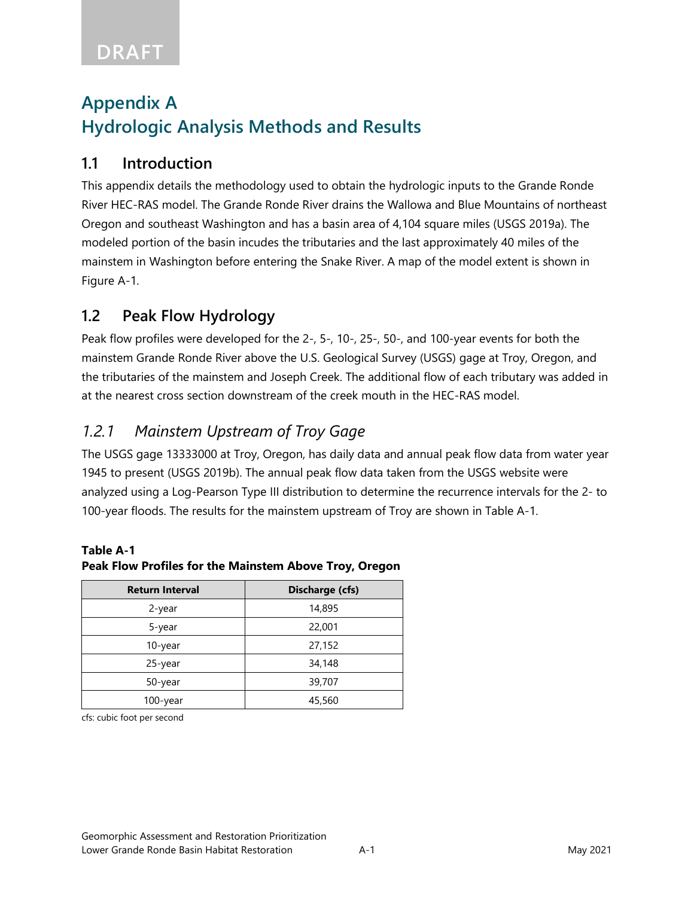# **Appendix A Hydrologic Analysis Methods and Results**

#### **1.1 Introduction**

This appendix details the methodology used to obtain the hydrologic inputs to the Grande Ronde River HEC-RAS model. The Grande Ronde River drains the Wallowa and Blue Mountains of northeast Oregon and southeast Washington and has a basin area of 4,104 square miles (USGS 2019a). The modeled portion of the basin incudes the tributaries and the last approximately 40 miles of the mainstem in Washington before entering the Snake River. A map of the model extent is shown in Figure A-1.

### **1.2 Peak Flow Hydrology**

Peak flow profiles were developed for the 2-, 5-, 10-, 25-, 50-, and 100-year events for both the mainstem Grande Ronde River above the U.S. Geological Survey (USGS) gage at Troy, Oregon, and the tributaries of the mainstem and Joseph Creek. The additional flow of each tributary was added in at the nearest cross section downstream of the creek mouth in the HEC-RAS model.

## *1.2.1 Mainstem Upstream of Troy Gage*

The USGS gage 13333000 at Troy, Oregon, has daily data and annual peak flow data from water year 1945 to present (USGS 2019b). The annual peak flow data taken from the USGS website were analyzed using a Log-Pearson Type III distribution to determine the recurrence intervals for the 2- to 100-year floods. The results for the mainstem upstream of Troy are shown in Table A-1.

# **Return Interval Discharge (cfs)** 2-year 14,895 5-year 22,001 10-year 27,152 25-year 34,148 50-year 39,707

100-year 45,560

#### **Table A-1 Peak Flow Profiles for the Mainstem Above Troy, Oregon**

cfs: cubic foot per second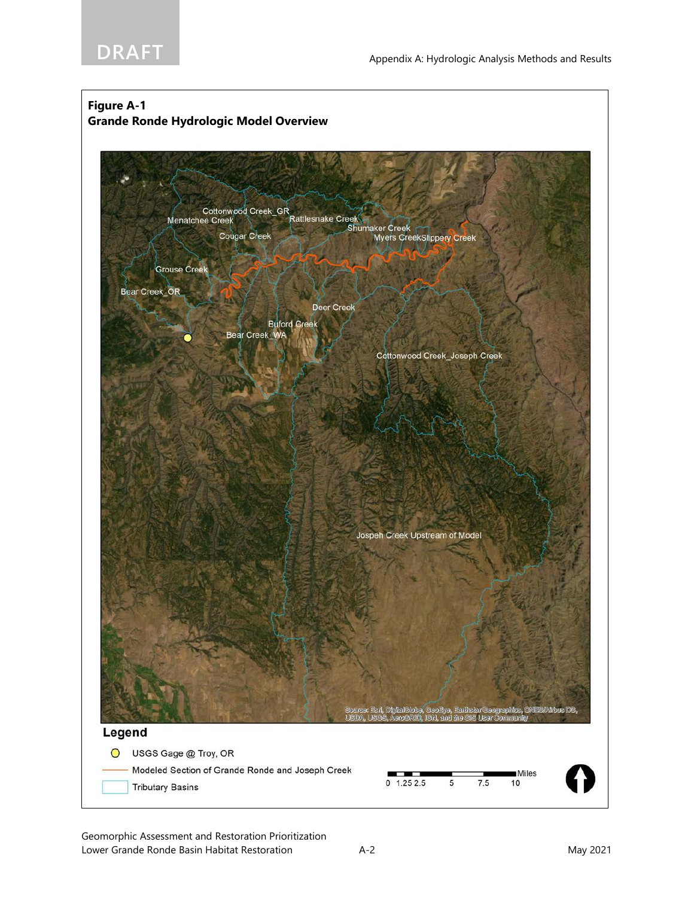



Geomorphic Assessment and Restoration Prioritization Lower Grande Ronde Basin Habitat Restoration A-2 A-2 May 2021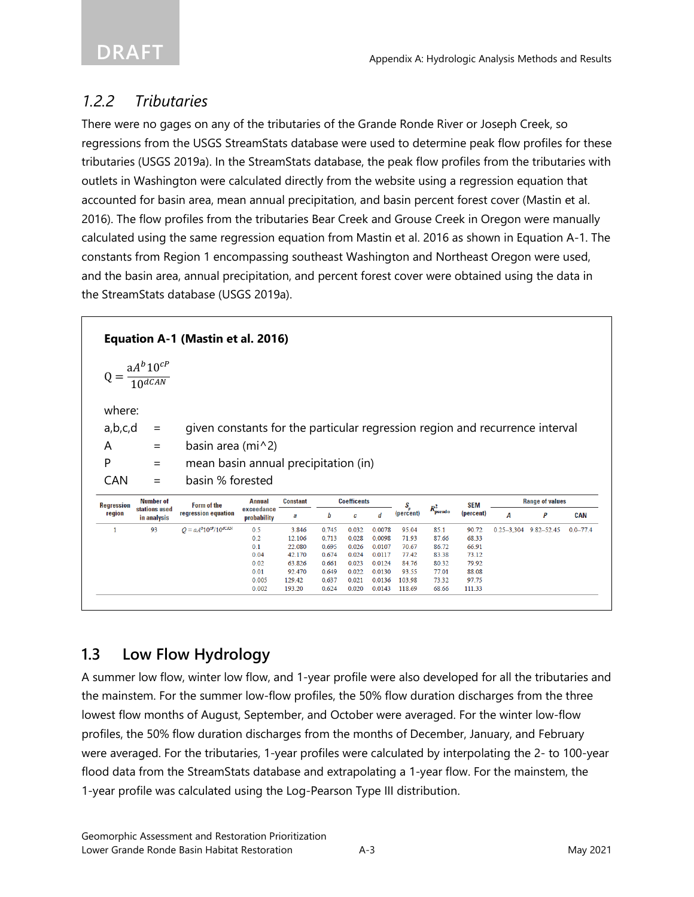## *1.2.2 Tributaries*

There were no gages on any of the tributaries of the Grande Ronde River or Joseph Creek, so regressions from the USGS StreamStats database were used to determine peak flow profiles for these tributaries (USGS 2019a). In the StreamStats database, the peak flow profiles from the tributaries with outlets in Washington were calculated directly from the website using a regression equation that accounted for basin area, mean annual precipitation, and basin percent forest cover (Mastin et al. 2016). The flow profiles from the tributaries Bear Creek and Grouse Creek in Oregon were manually calculated using the same regression equation from Mastin et al. 2016 as shown in Equation A-1. The constants from Region 1 encompassing southeast Washington and Northeast Oregon were used, and the basin area, annual precipitation, and percent forest cover were obtained using the data in the StreamStats database (USGS 2019a).

|                   |                                   | Equation A-1 (Mastin et al. 2016)    |                                                                              |                  |                |                    |                  |                      |                |                         |   |                               |              |  |
|-------------------|-----------------------------------|--------------------------------------|------------------------------------------------------------------------------|------------------|----------------|--------------------|------------------|----------------------|----------------|-------------------------|---|-------------------------------|--------------|--|
| $Q = -$           | $\frac{aA^{b}10^{cP}}{10^{dGAN}}$ |                                      |                                                                              |                  |                |                    |                  |                      |                |                         |   |                               |              |  |
| where:            |                                   |                                      |                                                                              |                  |                |                    |                  |                      |                |                         |   |                               |              |  |
| a,b,c,d           | $=$                               |                                      |                                                                              |                  |                |                    |                  |                      |                |                         |   |                               |              |  |
|                   |                                   |                                      | given constants for the particular regression region and recurrence interval |                  |                |                    |                  |                      |                |                         |   |                               |              |  |
| A                 | $=$                               | basin area (mi $\wedge$ 2)           |                                                                              |                  |                |                    |                  |                      |                |                         |   |                               |              |  |
|                   |                                   | mean basin annual precipitation (in) |                                                                              |                  |                |                    |                  |                      |                |                         |   |                               |              |  |
| P                 | $=$                               |                                      |                                                                              |                  |                |                    |                  |                      |                |                         |   |                               |              |  |
| <b>CAN</b>        | $\qquad \qquad =$                 | basin % forested                     |                                                                              |                  |                |                    |                  |                      |                |                         |   |                               |              |  |
|                   | <b>Number of</b>                  |                                      | <b>Annual</b>                                                                | <b>Constant</b>  |                | <b>Coefficents</b> |                  |                      |                |                         |   | <b>Range of values</b>        |              |  |
| region            | stations used<br>in analysis      | Form of the<br>regression equation   | exceedance<br>probability                                                    | a                | b              | c                  | d                | $S_p^-$<br>(percent) | $R^2_{pseudo}$ | <b>SEM</b><br>(percent) | А | P                             | <b>CAN</b>   |  |
| 1                 | 93                                | $Q = aA^{b}10^{cP}/10^{dCAN}$        | 0.5                                                                          | 3.846            | 0.745          | 0.032              | 0.0078           | 95.04                | 85.1           | 90.72                   |   | $0.25 - 3.304$ $9.82 - 52.45$ | $0.0 - 77.4$ |  |
|                   |                                   |                                      | 0.2                                                                          | 12.106           | 0.713          | 0.028              | 0.0098           | 71.93                | 87.66          | 68.33                   |   |                               |              |  |
|                   |                                   |                                      | 0.1                                                                          | 22.080           | 0.695          | 0.026              | 0.0107           | 70.67                | 86.72          | 6691                    |   |                               |              |  |
|                   |                                   |                                      | 0.04                                                                         | 42.170           | 0.674          | 0.024              | 0.0117           | 77.42                | 83.38          | 73.12                   |   |                               |              |  |
|                   |                                   |                                      | 0.02                                                                         | 63.826           | 0.661          | 0.023              | 0.0124           | 84.76                | 80.32          | 79.92                   |   |                               |              |  |
| <b>Regression</b> |                                   |                                      | 0.01                                                                         | 92.470           | 0.649          | 0.022              | 0.0130           | 93.55                | 77.01          | 88.08                   |   |                               |              |  |
|                   |                                   |                                      | 0.005<br>0.002                                                               | 129.42<br>193.20 | 0.637<br>0.624 | 0.021<br>0.020     | 0.0136<br>0.0143 | 103.98<br>118.69     | 73.32<br>68.66 | 97.75<br>111.33         |   |                               |              |  |

## **1.3 Low Flow Hydrology**

A summer low flow, winter low flow, and 1-year profile were also developed for all the tributaries and the mainstem. For the summer low-flow profiles, the 50% flow duration discharges from the three lowest flow months of August, September, and October were averaged. For the winter low-flow profiles, the 50% flow duration discharges from the months of December, January, and February were averaged. For the tributaries, 1-year profiles were calculated by interpolating the 2- to 100-year flood data from the StreamStats database and extrapolating a 1-year flow. For the mainstem, the 1-year profile was calculated using the Log-Pearson Type III distribution.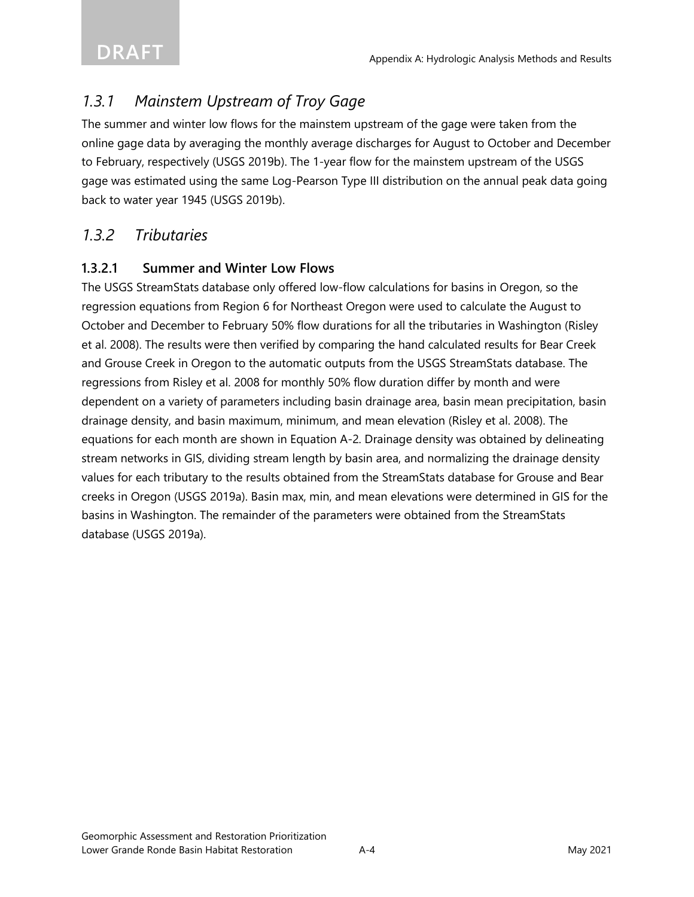## *1.3.1 Mainstem Upstream of Troy Gage*

The summer and winter low flows for the mainstem upstream of the gage were taken from the online gage data by averaging the monthly average discharges for August to October and December to February, respectively (USGS 2019b). The 1-year flow for the mainstem upstream of the USGS gage was estimated using the same Log-Pearson Type III distribution on the annual peak data going back to water year 1945 (USGS 2019b).

## *1.3.2 Tributaries*

#### **1.3.2.1 Summer and Winter Low Flows**

The USGS StreamStats database only offered low-flow calculations for basins in Oregon, so the regression equations from Region 6 for Northeast Oregon were used to calculate the August to October and December to February 50% flow durations for all the tributaries in Washington (Risley et al. 2008). The results were then verified by comparing the hand calculated results for Bear Creek and Grouse Creek in Oregon to the automatic outputs from the USGS StreamStats database. The regressions from Risley et al. 2008 for monthly 50% flow duration differ by month and were dependent on a variety of parameters including basin drainage area, basin mean precipitation, basin drainage density, and basin maximum, minimum, and mean elevation (Risley et al. 2008). The equations for each month are shown in Equation A-2. Drainage density was obtained by delineating stream networks in GIS, dividing stream length by basin area, and normalizing the drainage density values for each tributary to the results obtained from the StreamStats database for Grouse and Bear creeks in Oregon (USGS 2019a). Basin max, min, and mean elevations were determined in GIS for the basins in Washington. The remainder of the parameters were obtained from the StreamStats database (USGS 2019a).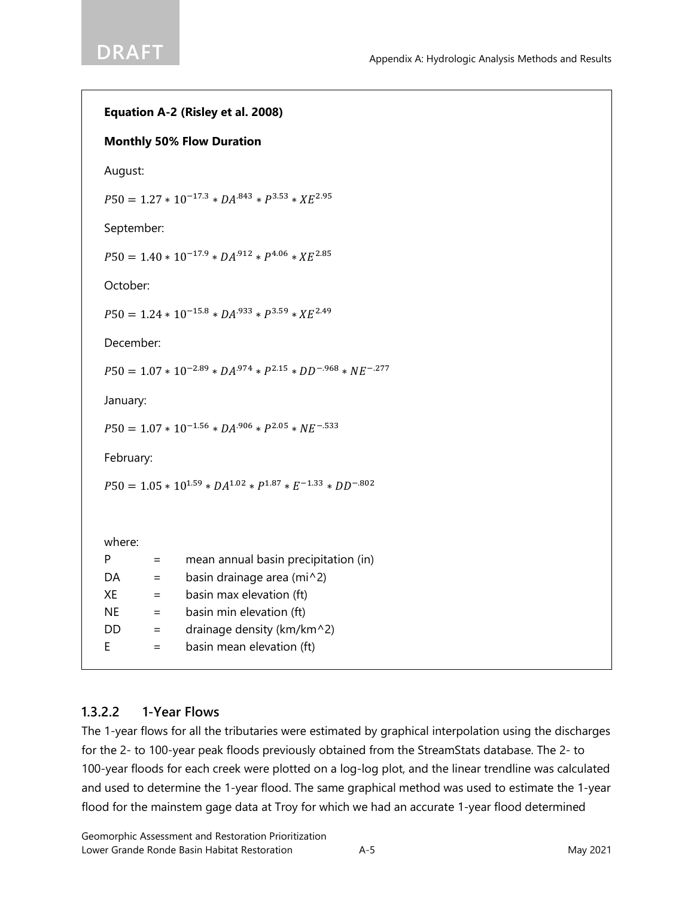```
Equation A-2 (Risley et al. 2008)
Monthly 50% Flow Duration
August:
P50 = 1.27 * 10^{-17.3} * DA^{.843} * P^{3.53} * XE^{2.95}September:
P50 = 1.40 * 10^{-17.9} * DA^{.912} * P^{4.06} * XE^{2.85}October:
P50 = 1.24 * 10^{-15.8} * DA^{.933} * P^{3.59} * XE^{2.49}December: 
P50 = 1.07 * 10^{-2.89} * DA^{.974} * P^{2.15} * DD^{-.968} * NE^{-.277}January:
P50 = 1.07 * 10^{-1.56} * DA^{.906} * P^{2.05} * NF^{-.533}February: 
P50 = 1.05 * 10^{1.59} * DA^{1.02} * P^{1.87} * E^{-1.33} * DD^{-.802}where:
P = mean annual basin precipitation (in)
DA = basin drainage area (mi^2)
XE = biasin max elevation (ft)NE = basin min elevation (ft)
DD = drainage density (km/km^2)
E = basin mean elevation (ft)
```
### **1.3.2.2 1-Year Flows**

The 1-year flows for all the tributaries were estimated by graphical interpolation using the discharges for the 2- to 100-year peak floods previously obtained from the StreamStats database. The 2- to 100-year floods for each creek were plotted on a log-log plot, and the linear trendline was calculated and used to determine the 1-year flood. The same graphical method was used to estimate the 1-year flood for the mainstem gage data at Troy for which we had an accurate 1-year flood determined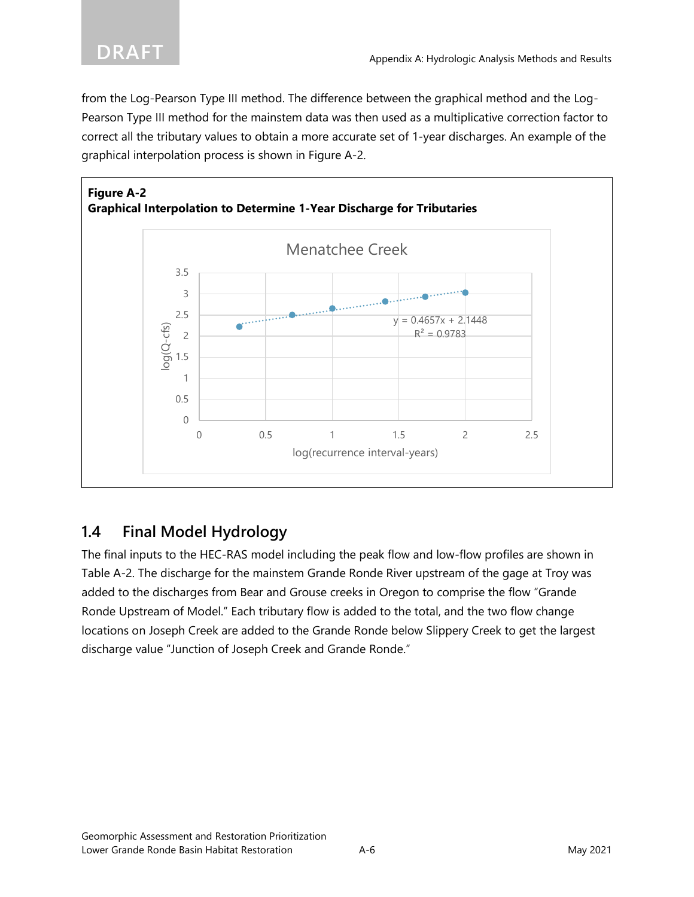from the Log-Pearson Type III method. The difference between the graphical method and the Log-Pearson Type III method for the mainstem data was then used as a multiplicative correction factor to correct all the tributary values to obtain a more accurate set of 1-year discharges. An example of the graphical interpolation process is shown in Figure A-2.



## **1.4 Final Model Hydrology**

The final inputs to the HEC-RAS model including the peak flow and low-flow profiles are shown in Table A-2. The discharge for the mainstem Grande Ronde River upstream of the gage at Troy was added to the discharges from Bear and Grouse creeks in Oregon to comprise the flow "Grande Ronde Upstream of Model." Each tributary flow is added to the total, and the two flow change locations on Joseph Creek are added to the Grande Ronde below Slippery Creek to get the largest discharge value "Junction of Joseph Creek and Grande Ronde."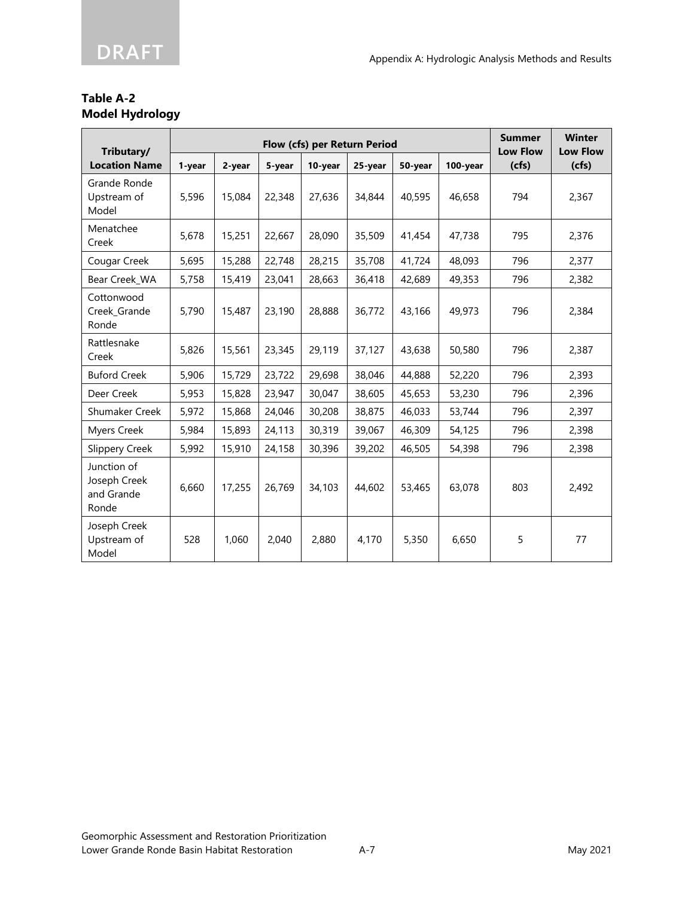#### **Table A-2 Model Hydrology**

| Tributary/                                         |        |        | <b>Summer</b><br><b>Low Flow</b> | <b>Winter</b><br><b>Low Flow</b> |         |         |          |       |       |
|----------------------------------------------------|--------|--------|----------------------------------|----------------------------------|---------|---------|----------|-------|-------|
| <b>Location Name</b>                               | 1-year | 2-year | 5-year                           | 10-year                          | 25-year | 50-year | 100-year | (cfs) | (cfs) |
| Grande Ronde<br>Upstream of<br>Model               | 5,596  | 15,084 | 22,348                           | 27,636                           | 34,844  | 40,595  | 46,658   | 794   | 2,367 |
| Menatchee<br>Creek                                 | 5,678  | 15,251 | 22,667                           | 28,090                           | 35,509  | 41,454  | 47,738   | 795   | 2,376 |
| Cougar Creek                                       | 5,695  | 15,288 | 22,748                           | 28,215                           | 35,708  | 41,724  | 48,093   | 796   | 2,377 |
| Bear Creek_WA                                      | 5,758  | 15,419 | 23,041                           | 28,663                           | 36,418  | 42,689  | 49,353   | 796   | 2,382 |
| Cottonwood<br>Creek_Grande<br>Ronde                | 5,790  | 15,487 | 23,190                           | 28,888                           | 36,772  | 43,166  | 49,973   | 796   | 2,384 |
| Rattlesnake<br>Creek                               | 5,826  | 15,561 | 23,345                           | 29,119                           | 37,127  | 43,638  | 50,580   | 796   | 2,387 |
| <b>Buford Creek</b>                                | 5,906  | 15,729 | 23,722                           | 29,698                           | 38,046  | 44,888  | 52,220   | 796   | 2,393 |
| Deer Creek                                         | 5,953  | 15,828 | 23,947                           | 30,047                           | 38,605  | 45,653  | 53,230   | 796   | 2,396 |
| <b>Shumaker Creek</b>                              | 5,972  | 15,868 | 24,046                           | 30,208                           | 38,875  | 46,033  | 53,744   | 796   | 2,397 |
| <b>Myers Creek</b>                                 | 5,984  | 15,893 | 24,113                           | 30,319                           | 39,067  | 46,309  | 54,125   | 796   | 2,398 |
| <b>Slippery Creek</b>                              | 5,992  | 15,910 | 24,158                           | 30,396                           | 39,202  | 46,505  | 54,398   | 796   | 2,398 |
| Junction of<br>Joseph Creek<br>and Grande<br>Ronde | 6,660  | 17,255 | 26,769                           | 34,103                           | 44,602  | 53,465  | 63,078   | 803   | 2,492 |
| Joseph Creek<br>Upstream of<br>Model               | 528    | 1,060  | 2,040                            | 2,880                            | 4,170   | 5,350   | 6,650    | 5     | 77    |